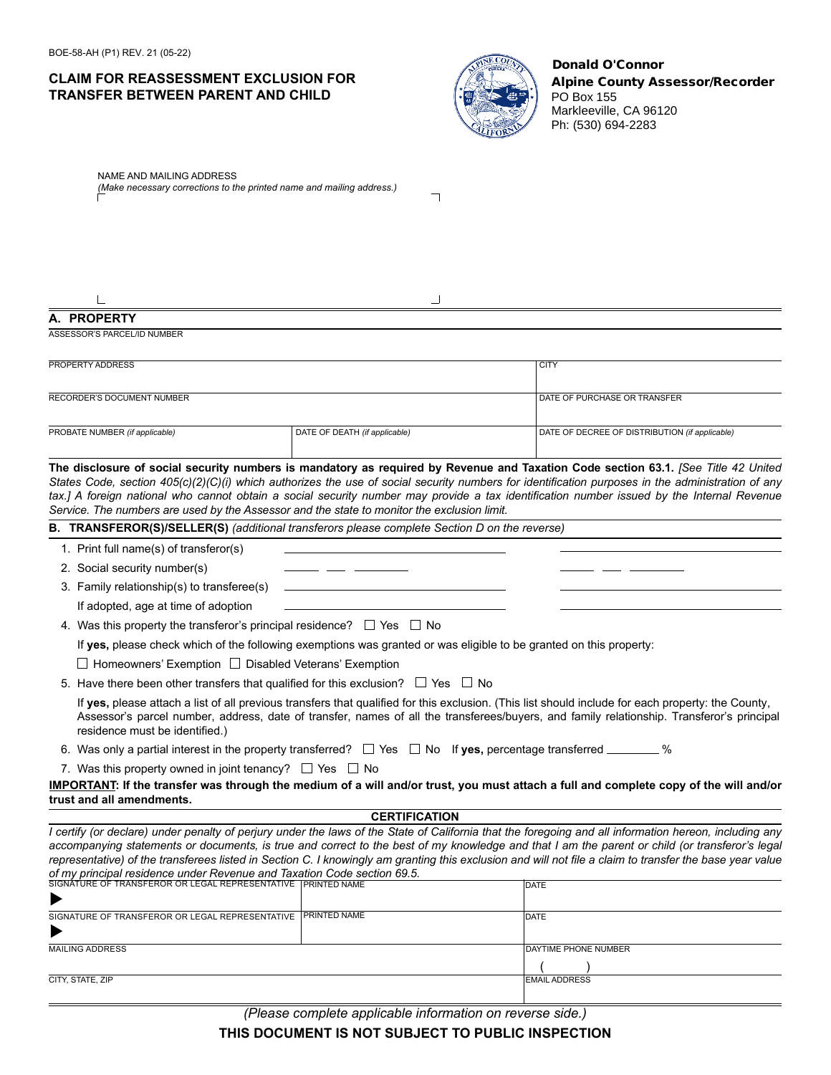## **CLAIM FOR REASSESSMENT EXCLUSION FOR TRANSFER BETWEEN PARENT AND CHILD**



### Donald O'Connor Alpine County Assessor/Recorder PO Box 155 Markleeville, CA 96120 Ph: (530) 694-2283

| NAME AND MAILING ADDRESS<br>(Make necessary corrections to the printed name and mailing address.)                                                                                                                                                                                                                                 |                               |                                                                                                                                                                                                                                                                                                                                                                                                                                       |  |  |
|-----------------------------------------------------------------------------------------------------------------------------------------------------------------------------------------------------------------------------------------------------------------------------------------------------------------------------------|-------------------------------|---------------------------------------------------------------------------------------------------------------------------------------------------------------------------------------------------------------------------------------------------------------------------------------------------------------------------------------------------------------------------------------------------------------------------------------|--|--|
|                                                                                                                                                                                                                                                                                                                                   |                               |                                                                                                                                                                                                                                                                                                                                                                                                                                       |  |  |
|                                                                                                                                                                                                                                                                                                                                   |                               |                                                                                                                                                                                                                                                                                                                                                                                                                                       |  |  |
| A. PROPERTY                                                                                                                                                                                                                                                                                                                       |                               |                                                                                                                                                                                                                                                                                                                                                                                                                                       |  |  |
| <b>ASSESSOR'S PARCEL/ID NUMBER</b>                                                                                                                                                                                                                                                                                                |                               |                                                                                                                                                                                                                                                                                                                                                                                                                                       |  |  |
|                                                                                                                                                                                                                                                                                                                                   |                               |                                                                                                                                                                                                                                                                                                                                                                                                                                       |  |  |
| <b>PROPERTY ADDRESS</b>                                                                                                                                                                                                                                                                                                           |                               | <b>CITY</b>                                                                                                                                                                                                                                                                                                                                                                                                                           |  |  |
| RECORDER'S DOCUMENT NUMBER                                                                                                                                                                                                                                                                                                        |                               | DATE OF PURCHASE OR TRANSFER                                                                                                                                                                                                                                                                                                                                                                                                          |  |  |
|                                                                                                                                                                                                                                                                                                                                   |                               |                                                                                                                                                                                                                                                                                                                                                                                                                                       |  |  |
| PROBATE NUMBER (if applicable)                                                                                                                                                                                                                                                                                                    | DATE OF DEATH (if applicable) | DATE OF DECREE OF DISTRIBUTION (if applicable)                                                                                                                                                                                                                                                                                                                                                                                        |  |  |
|                                                                                                                                                                                                                                                                                                                                   |                               |                                                                                                                                                                                                                                                                                                                                                                                                                                       |  |  |
| Service. The numbers are used by the Assessor and the state to monitor the exclusion limit.                                                                                                                                                                                                                                       |                               | The disclosure of social security numbers is mandatory as required by Revenue and Taxation Code section 63.1. [See Title 42 United<br>States Code, section 405(c)(2)(C)(i) which authorizes the use of social security numbers for identification purposes in the administration of any<br>tax.] A foreign national who cannot obtain a social security number may provide a tax identification number issued by the Internal Revenue |  |  |
| B. TRANSFEROR(S)/SELLER(S) (additional transferors please complete Section D on the reverse)                                                                                                                                                                                                                                      |                               |                                                                                                                                                                                                                                                                                                                                                                                                                                       |  |  |
| 1. Print full name(s) of transferor(s)                                                                                                                                                                                                                                                                                            |                               |                                                                                                                                                                                                                                                                                                                                                                                                                                       |  |  |
| 2. Social security number(s)                                                                                                                                                                                                                                                                                                      |                               |                                                                                                                                                                                                                                                                                                                                                                                                                                       |  |  |
| 3. Family relationship(s) to transferee(s)                                                                                                                                                                                                                                                                                        |                               |                                                                                                                                                                                                                                                                                                                                                                                                                                       |  |  |
| If adopted, age at time of adoption                                                                                                                                                                                                                                                                                               |                               |                                                                                                                                                                                                                                                                                                                                                                                                                                       |  |  |
| 4. Was this property the transferor's principal residence? $\Box$ Yes $\Box$ No                                                                                                                                                                                                                                                   |                               |                                                                                                                                                                                                                                                                                                                                                                                                                                       |  |  |
| If yes, please check which of the following exemptions was granted or was eligible to be granted on this property:                                                                                                                                                                                                                |                               |                                                                                                                                                                                                                                                                                                                                                                                                                                       |  |  |
| $\Box$ Homeowners' Exemption $\Box$ Disabled Veterans' Exemption                                                                                                                                                                                                                                                                  |                               |                                                                                                                                                                                                                                                                                                                                                                                                                                       |  |  |
| 5. Have there been other transfers that qualified for this exclusion? $\Box$ Yes $\Box$ No                                                                                                                                                                                                                                        |                               |                                                                                                                                                                                                                                                                                                                                                                                                                                       |  |  |
| If yes, please attach a list of all previous transfers that qualified for this exclusion. (This list should include for each property: the County,<br>Assessor's parcel number, address, date of transfer, names of all the transferees/buyers, and family relationship. Transferor's principal<br>residence must be identified.) |                               |                                                                                                                                                                                                                                                                                                                                                                                                                                       |  |  |
| 6. Was only a partial interest in the property transferred? $\Box$ Yes $\Box$ No If yes, percentage transferred _______ %                                                                                                                                                                                                         |                               |                                                                                                                                                                                                                                                                                                                                                                                                                                       |  |  |
| 7. Was this property owned in joint tenancy? $\Box$ Yes $\Box$ No                                                                                                                                                                                                                                                                 |                               |                                                                                                                                                                                                                                                                                                                                                                                                                                       |  |  |
| trust and all amendments.                                                                                                                                                                                                                                                                                                         |                               | IMPORTANT: If the transfer was through the medium of a will and/or trust, you must attach a full and complete copy of the will and/or                                                                                                                                                                                                                                                                                                 |  |  |
|                                                                                                                                                                                                                                                                                                                                   | <b>CERTIFICATION</b>          |                                                                                                                                                                                                                                                                                                                                                                                                                                       |  |  |
|                                                                                                                                                                                                                                                                                                                                   |                               | I certify (or declare) under penalty of perjury under the laws of the State of California that the foregoing and all information hereon, including any                                                                                                                                                                                                                                                                                |  |  |
|                                                                                                                                                                                                                                                                                                                                   |                               | accompanying statements or documents, is true and correct to the best of my knowledge and that I am the parent or child (or transferor's legal<br>representative) of the transferees listed in Section C. I knowingly am granting this exclusion and will not file a claim to transfer the base year value                                                                                                                            |  |  |
| of my principal residence under Revenue and Taxation Code section 69.5.<br>SIGNATURE OF TRANSFEROR OR LEGAL REPRESENTATIVE PRINTED NAME                                                                                                                                                                                           |                               | DATE                                                                                                                                                                                                                                                                                                                                                                                                                                  |  |  |
|                                                                                                                                                                                                                                                                                                                                   |                               |                                                                                                                                                                                                                                                                                                                                                                                                                                       |  |  |
| SIGNATURE OF TRANSFEROR OR LEGAL REPRESENTATIVE PRINTED NAME                                                                                                                                                                                                                                                                      |                               | DATE                                                                                                                                                                                                                                                                                                                                                                                                                                  |  |  |
| <b>MAILING ADDRESS</b>                                                                                                                                                                                                                                                                                                            |                               |                                                                                                                                                                                                                                                                                                                                                                                                                                       |  |  |
|                                                                                                                                                                                                                                                                                                                                   |                               | DAYTIME PHONE NUMBER                                                                                                                                                                                                                                                                                                                                                                                                                  |  |  |
| CITY, STATE, ZIP                                                                                                                                                                                                                                                                                                                  |                               | <b>EMAIL ADDRESS</b>                                                                                                                                                                                                                                                                                                                                                                                                                  |  |  |

*(Please complete applicable information on reverse side.)*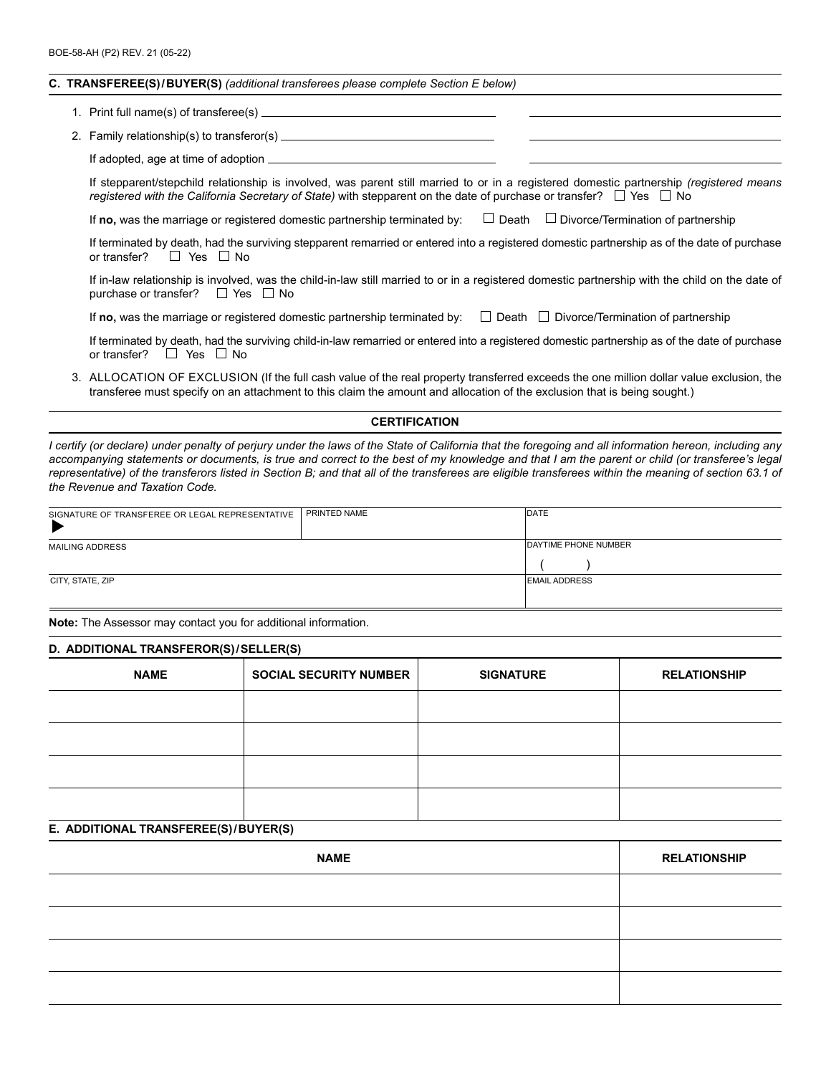#### **C. TRANSFEREE(S)/BUYER(S)** *(additional transferees please complete Section E below)*

| 1. Print full name(s) of transferee(s). |  |  |  |
|-----------------------------------------|--|--|--|
|                                         |  |  |  |

2. Family relationship(s) to transferor(s)

If adopted, age at time of adoption  $\equiv$ 

If stepparent/stepchild relationship is involved, was parent still married to or in a registered domestic partnership *(registered means registered with the California Secretary of State*) with stepparent on the date of purchase or transfer?  $\Box$  Yes  $\Box$  No

If **no**, was the marriage or registered domestic partnership terminated by:  $\Box$  Death  $\Box$  Divorce/Termination of partnership

If terminated by death, had the surviving stepparent remarried or entered into a registered domestic partnership as of the date of purchase or transfer?  $\Box$  Yes  $\Box$  No

If in-law relationship is involved, was the child-in-law still married to or in a registered domestic partnership with the child on the date of purchase or transfer?  $\Box$  Yes  $\Box$  No

If **no**, was the marriage or registered domestic partnership terminated by:  $\Box$  Death  $\Box$  Divorce/Termination of partnership

If terminated by death, had the surviving child-in-law remarried or entered into a registered domestic partnership as of the date of purchase or transfer?  $\Box$  Yes  $\Box$  No

3. ALLOCATION OF ExCLUSION (If the full cash value of the real property transferred exceeds the one million dollar value exclusion, the transferee must specify on an attachment to this claim the amount and allocation of the exclusion that is being sought.)

#### **CERTIFICATION**

*I certify (or declare) under penalty of perjury under the laws of the State of California that the foregoing and all information hereon, including any accompanying statements or documents, is true and correct to the best of my knowledge and that I am the parent or child (or transferee's legal representative) of the transferors listed in Section B; and that all of the transferees are eligible transferees within the meaning of section 63.1 of the Revenue and Taxation Code.*

| SIGNATURE OF TRANSFEREE OR LEGAL REPRESENTATIVE | PRINTED NAME | DATE                        |
|-------------------------------------------------|--------------|-----------------------------|
| <b>MAILING ADDRESS</b>                          |              | <b>DAYTIME PHONE NUMBER</b> |
| CITY, STATE, ZIP                                |              | <b>EMAIL ADDRESS</b>        |

**Note:** The Assessor may contact you for additional information.

#### **D. ADDITIONAL TRANSFEROR(S)/SELLER(S)**

| <b>NAME</b> | <b>SOCIAL SECURITY NUMBER</b> | <b>SIGNATURE</b> | <b>RELATIONSHIP</b> |
|-------------|-------------------------------|------------------|---------------------|
|             |                               |                  |                     |
|             |                               |                  |                     |
|             |                               |                  |                     |
|             |                               |                  |                     |

#### **E. ADDITIONAL TRANSFEREE(S)/BUYER(S)**

| <b>NAME</b> | <b>RELATIONSHIP</b> |
|-------------|---------------------|
|             |                     |
|             |                     |
|             |                     |
|             |                     |